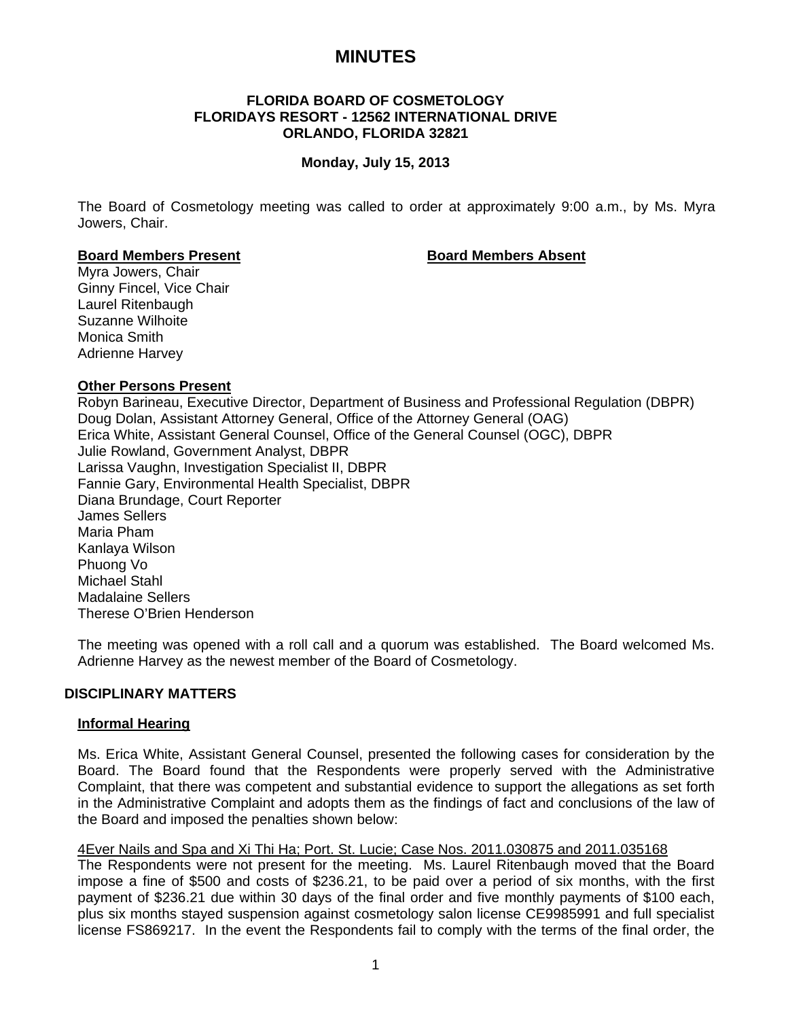# **MINUTES**

## **FLORIDA BOARD OF COSMETOLOGY FLORIDAYS RESORT - 12562 INTERNATIONAL DRIVE ORLANDO, FLORIDA 32821**

# **Monday, July 15, 2013**

The Board of Cosmetology meeting was called to order at approximately 9:00 a.m., by Ms. Myra Jowers, Chair.

#### **Board Members Present Communist Board Members Absent**

Myra Jowers, Chair Ginny Fincel, Vice Chair Laurel Ritenbaugh Suzanne Wilhoite Monica Smith Adrienne Harvey

# **Other Persons Present**

Robyn Barineau, Executive Director, Department of Business and Professional Regulation (DBPR) Doug Dolan, Assistant Attorney General, Office of the Attorney General (OAG) Erica White, Assistant General Counsel, Office of the General Counsel (OGC), DBPR Julie Rowland, Government Analyst, DBPR Larissa Vaughn, Investigation Specialist II, DBPR Fannie Gary, Environmental Health Specialist, DBPR Diana Brundage, Court Reporter James Sellers Maria Pham Kanlaya Wilson Phuong Vo Michael Stahl Madalaine Sellers Therese O'Brien Henderson

The meeting was opened with a roll call and a quorum was established. The Board welcomed Ms. Adrienne Harvey as the newest member of the Board of Cosmetology.

#### **DISCIPLINARY MATTERS**

#### **Informal Hearing**

Ms. Erica White, Assistant General Counsel, presented the following cases for consideration by the Board. The Board found that the Respondents were properly served with the Administrative Complaint, that there was competent and substantial evidence to support the allegations as set forth in the Administrative Complaint and adopts them as the findings of fact and conclusions of the law of the Board and imposed the penalties shown below:

#### 4Ever Nails and Spa and Xi Thi Ha; Port. St. Lucie; Case Nos. 2011.030875 and 2011.035168

The Respondents were not present for the meeting. Ms. Laurel Ritenbaugh moved that the Board impose a fine of \$500 and costs of \$236.21, to be paid over a period of six months, with the first payment of \$236.21 due within 30 days of the final order and five monthly payments of \$100 each, plus six months stayed suspension against cosmetology salon license CE9985991 and full specialist license FS869217. In the event the Respondents fail to comply with the terms of the final order, the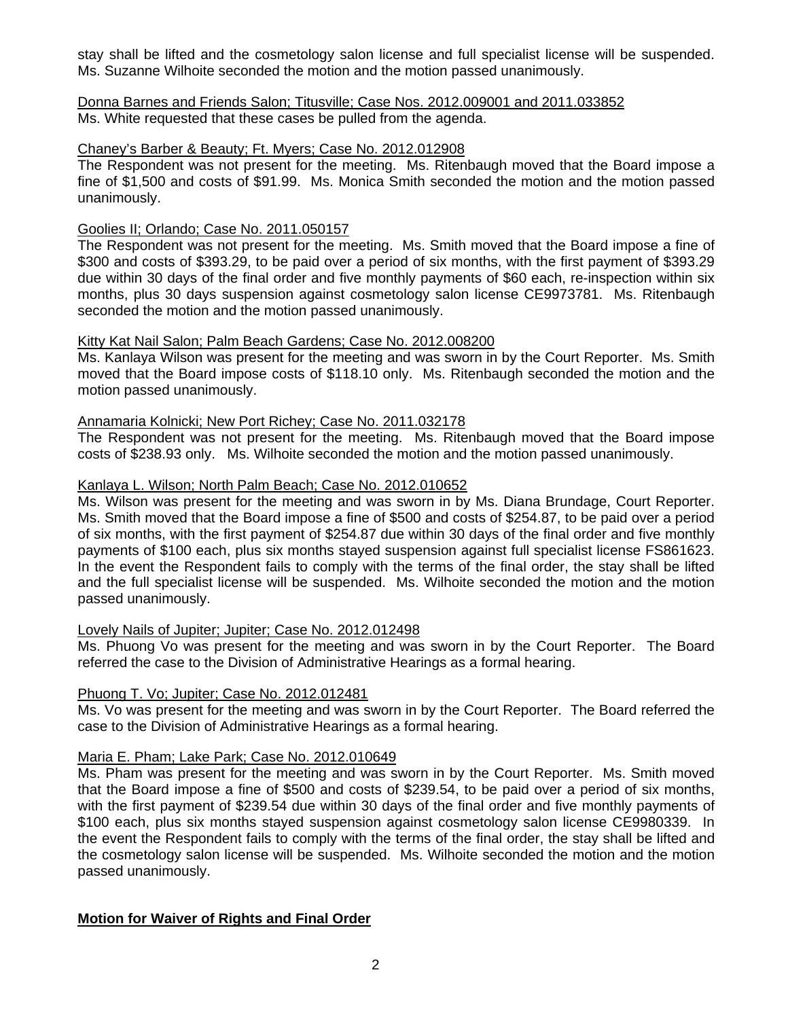stay shall be lifted and the cosmetology salon license and full specialist license will be suspended. Ms. Suzanne Wilhoite seconded the motion and the motion passed unanimously.

Donna Barnes and Friends Salon; Titusville; Case Nos. 2012.009001 and 2011.033852 Ms. White requested that these cases be pulled from the agenda.

# Chaney's Barber & Beauty; Ft. Myers; Case No. 2012.012908

The Respondent was not present for the meeting. Ms. Ritenbaugh moved that the Board impose a fine of \$1,500 and costs of \$91.99. Ms. Monica Smith seconded the motion and the motion passed unanimously.

# Goolies II; Orlando; Case No. 2011.050157

The Respondent was not present for the meeting. Ms. Smith moved that the Board impose a fine of \$300 and costs of \$393.29, to be paid over a period of six months, with the first payment of \$393.29 due within 30 days of the final order and five monthly payments of \$60 each, re-inspection within six months, plus 30 days suspension against cosmetology salon license CE9973781. Ms. Ritenbaugh seconded the motion and the motion passed unanimously.

# Kitty Kat Nail Salon; Palm Beach Gardens; Case No. 2012.008200

Ms. Kanlaya Wilson was present for the meeting and was sworn in by the Court Reporter. Ms. Smith moved that the Board impose costs of \$118.10 only. Ms. Ritenbaugh seconded the motion and the motion passed unanimously.

# Annamaria Kolnicki; New Port Richey; Case No. 2011.032178

The Respondent was not present for the meeting. Ms. Ritenbaugh moved that the Board impose costs of \$238.93 only. Ms. Wilhoite seconded the motion and the motion passed unanimously.

# Kanlaya L. Wilson; North Palm Beach; Case No. 2012.010652

Ms. Wilson was present for the meeting and was sworn in by Ms. Diana Brundage, Court Reporter. Ms. Smith moved that the Board impose a fine of \$500 and costs of \$254.87, to be paid over a period of six months, with the first payment of \$254.87 due within 30 days of the final order and five monthly payments of \$100 each, plus six months stayed suspension against full specialist license FS861623. In the event the Respondent fails to comply with the terms of the final order, the stay shall be lifted and the full specialist license will be suspended. Ms. Wilhoite seconded the motion and the motion passed unanimously.

#### Lovely Nails of Jupiter; Jupiter; Case No. 2012.012498

Ms. Phuong Vo was present for the meeting and was sworn in by the Court Reporter. The Board referred the case to the Division of Administrative Hearings as a formal hearing.

#### Phuong T. Vo; Jupiter; Case No. 2012.012481

Ms. Vo was present for the meeting and was sworn in by the Court Reporter. The Board referred the case to the Division of Administrative Hearings as a formal hearing.

# Maria E. Pham; Lake Park; Case No. 2012.010649

Ms. Pham was present for the meeting and was sworn in by the Court Reporter. Ms. Smith moved that the Board impose a fine of \$500 and costs of \$239.54, to be paid over a period of six months, with the first payment of \$239.54 due within 30 days of the final order and five monthly payments of \$100 each, plus six months stayed suspension against cosmetology salon license CE9980339. In the event the Respondent fails to comply with the terms of the final order, the stay shall be lifted and the cosmetology salon license will be suspended. Ms. Wilhoite seconded the motion and the motion passed unanimously.

# **Motion for Waiver of Rights and Final Order**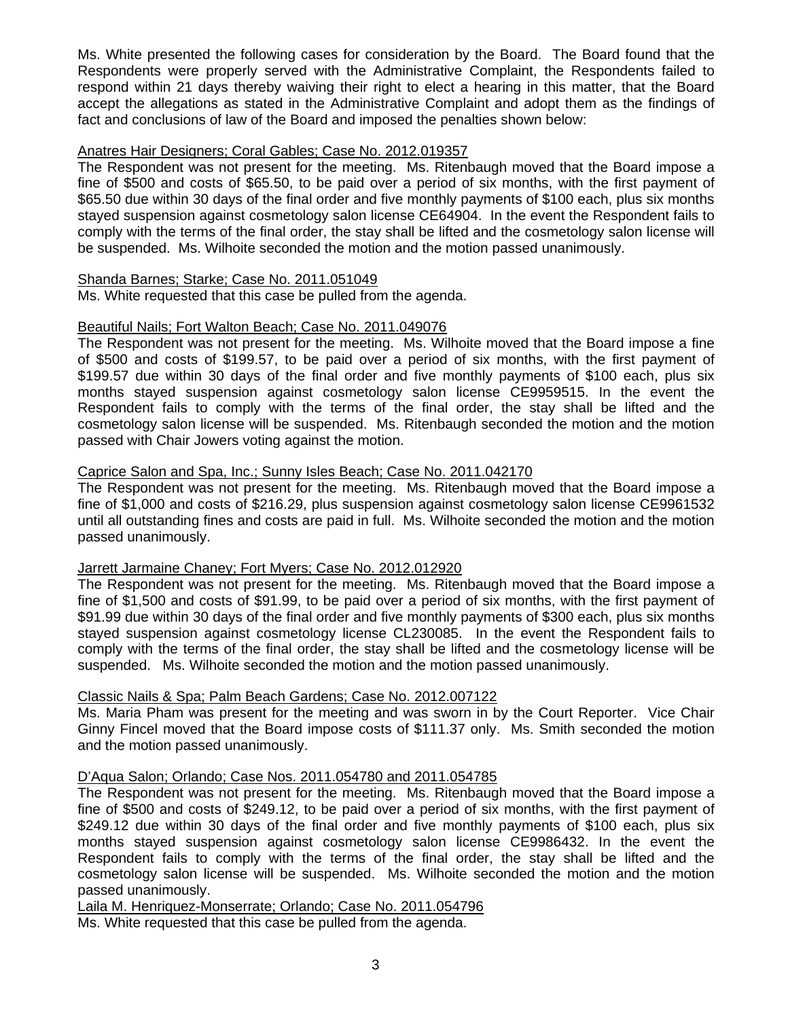Ms. White presented the following cases for consideration by the Board. The Board found that the Respondents were properly served with the Administrative Complaint, the Respondents failed to respond within 21 days thereby waiving their right to elect a hearing in this matter, that the Board accept the allegations as stated in the Administrative Complaint and adopt them as the findings of fact and conclusions of law of the Board and imposed the penalties shown below:

# Anatres Hair Designers; Coral Gables; Case No. 2012.019357

The Respondent was not present for the meeting. Ms. Ritenbaugh moved that the Board impose a fine of \$500 and costs of \$65.50, to be paid over a period of six months, with the first payment of \$65.50 due within 30 days of the final order and five monthly payments of \$100 each, plus six months stayed suspension against cosmetology salon license CE64904. In the event the Respondent fails to comply with the terms of the final order, the stay shall be lifted and the cosmetology salon license will be suspended. Ms. Wilhoite seconded the motion and the motion passed unanimously.

# Shanda Barnes; Starke; Case No. 2011.051049

Ms. White requested that this case be pulled from the agenda.

#### Beautiful Nails; Fort Walton Beach; Case No. 2011.049076

The Respondent was not present for the meeting. Ms. Wilhoite moved that the Board impose a fine of \$500 and costs of \$199.57, to be paid over a period of six months, with the first payment of \$199.57 due within 30 days of the final order and five monthly payments of \$100 each, plus six months stayed suspension against cosmetology salon license CE9959515. In the event the Respondent fails to comply with the terms of the final order, the stay shall be lifted and the cosmetology salon license will be suspended. Ms. Ritenbaugh seconded the motion and the motion passed with Chair Jowers voting against the motion.

# Caprice Salon and Spa, Inc.; Sunny Isles Beach; Case No. 2011.042170

The Respondent was not present for the meeting. Ms. Ritenbaugh moved that the Board impose a fine of \$1,000 and costs of \$216.29, plus suspension against cosmetology salon license CE9961532 until all outstanding fines and costs are paid in full. Ms. Wilhoite seconded the motion and the motion passed unanimously.

#### Jarrett Jarmaine Chaney; Fort Myers; Case No. 2012.012920

The Respondent was not present for the meeting. Ms. Ritenbaugh moved that the Board impose a fine of \$1,500 and costs of \$91.99, to be paid over a period of six months, with the first payment of \$91.99 due within 30 days of the final order and five monthly payments of \$300 each, plus six months stayed suspension against cosmetology license CL230085. In the event the Respondent fails to comply with the terms of the final order, the stay shall be lifted and the cosmetology license will be suspended. Ms. Wilhoite seconded the motion and the motion passed unanimously.

# Classic Nails & Spa; Palm Beach Gardens; Case No. 2012.007122

Ms. Maria Pham was present for the meeting and was sworn in by the Court Reporter. Vice Chair Ginny Fincel moved that the Board impose costs of \$111.37 only. Ms. Smith seconded the motion and the motion passed unanimously.

# D'Aqua Salon; Orlando; Case Nos. 2011.054780 and 2011.054785

The Respondent was not present for the meeting. Ms. Ritenbaugh moved that the Board impose a fine of \$500 and costs of \$249.12, to be paid over a period of six months, with the first payment of \$249.12 due within 30 days of the final order and five monthly payments of \$100 each, plus six months stayed suspension against cosmetology salon license CE9986432. In the event the Respondent fails to comply with the terms of the final order, the stay shall be lifted and the cosmetology salon license will be suspended. Ms. Wilhoite seconded the motion and the motion passed unanimously.

Laila M. Henriquez-Monserrate; Orlando; Case No. 2011.054796

Ms. White requested that this case be pulled from the agenda.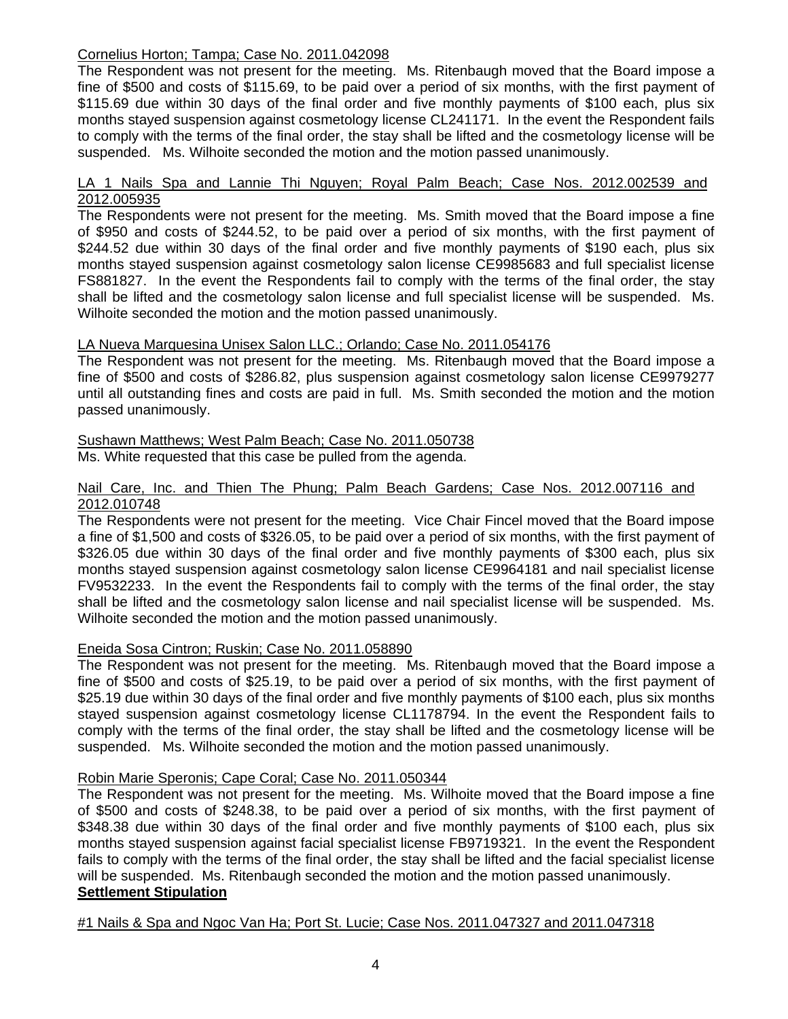# Cornelius Horton; Tampa; Case No. 2011.042098

The Respondent was not present for the meeting. Ms. Ritenbaugh moved that the Board impose a fine of \$500 and costs of \$115.69, to be paid over a period of six months, with the first payment of \$115.69 due within 30 days of the final order and five monthly payments of \$100 each, plus six months stayed suspension against cosmetology license CL241171. In the event the Respondent fails to comply with the terms of the final order, the stay shall be lifted and the cosmetology license will be suspended. Ms. Wilhoite seconded the motion and the motion passed unanimously.

#### LA 1 Nails Spa and Lannie Thi Nguyen; Royal Palm Beach; Case Nos. 2012.002539 and 2012.005935

The Respondents were not present for the meeting. Ms. Smith moved that the Board impose a fine of \$950 and costs of \$244.52, to be paid over a period of six months, with the first payment of \$244.52 due within 30 days of the final order and five monthly payments of \$190 each, plus six months stayed suspension against cosmetology salon license CE9985683 and full specialist license FS881827. In the event the Respondents fail to comply with the terms of the final order, the stay shall be lifted and the cosmetology salon license and full specialist license will be suspended. Ms. Wilhoite seconded the motion and the motion passed unanimously.

# LA Nueva Marquesina Unisex Salon LLC.; Orlando; Case No. 2011.054176

The Respondent was not present for the meeting. Ms. Ritenbaugh moved that the Board impose a fine of \$500 and costs of \$286.82, plus suspension against cosmetology salon license CE9979277 until all outstanding fines and costs are paid in full. Ms. Smith seconded the motion and the motion passed unanimously.

# Sushawn Matthews; West Palm Beach; Case No. 2011.050738

Ms. White requested that this case be pulled from the agenda.

# Nail Care, Inc. and Thien The Phung; Palm Beach Gardens; Case Nos. 2012.007116 and 2012.010748

The Respondents were not present for the meeting. Vice Chair Fincel moved that the Board impose a fine of \$1,500 and costs of \$326.05, to be paid over a period of six months, with the first payment of \$326.05 due within 30 days of the final order and five monthly payments of \$300 each, plus six months stayed suspension against cosmetology salon license CE9964181 and nail specialist license FV9532233. In the event the Respondents fail to comply with the terms of the final order, the stay shall be lifted and the cosmetology salon license and nail specialist license will be suspended. Ms. Wilhoite seconded the motion and the motion passed unanimously.

#### Eneida Sosa Cintron; Ruskin; Case No. 2011.058890

The Respondent was not present for the meeting. Ms. Ritenbaugh moved that the Board impose a fine of \$500 and costs of \$25.19, to be paid over a period of six months, with the first payment of \$25.19 due within 30 days of the final order and five monthly payments of \$100 each, plus six months stayed suspension against cosmetology license CL1178794. In the event the Respondent fails to comply with the terms of the final order, the stay shall be lifted and the cosmetology license will be suspended. Ms. Wilhoite seconded the motion and the motion passed unanimously.

#### Robin Marie Speronis; Cape Coral; Case No. 2011.050344

The Respondent was not present for the meeting. Ms. Wilhoite moved that the Board impose a fine of \$500 and costs of \$248.38, to be paid over a period of six months, with the first payment of \$348.38 due within 30 days of the final order and five monthly payments of \$100 each, plus six months stayed suspension against facial specialist license FB9719321. In the event the Respondent fails to comply with the terms of the final order, the stay shall be lifted and the facial specialist license will be suspended. Ms. Ritenbaugh seconded the motion and the motion passed unanimously.  **Settlement Stipulation**

#### #1 Nails & Spa and Ngoc Van Ha; Port St. Lucie; Case Nos. 2011.047327 and 2011.047318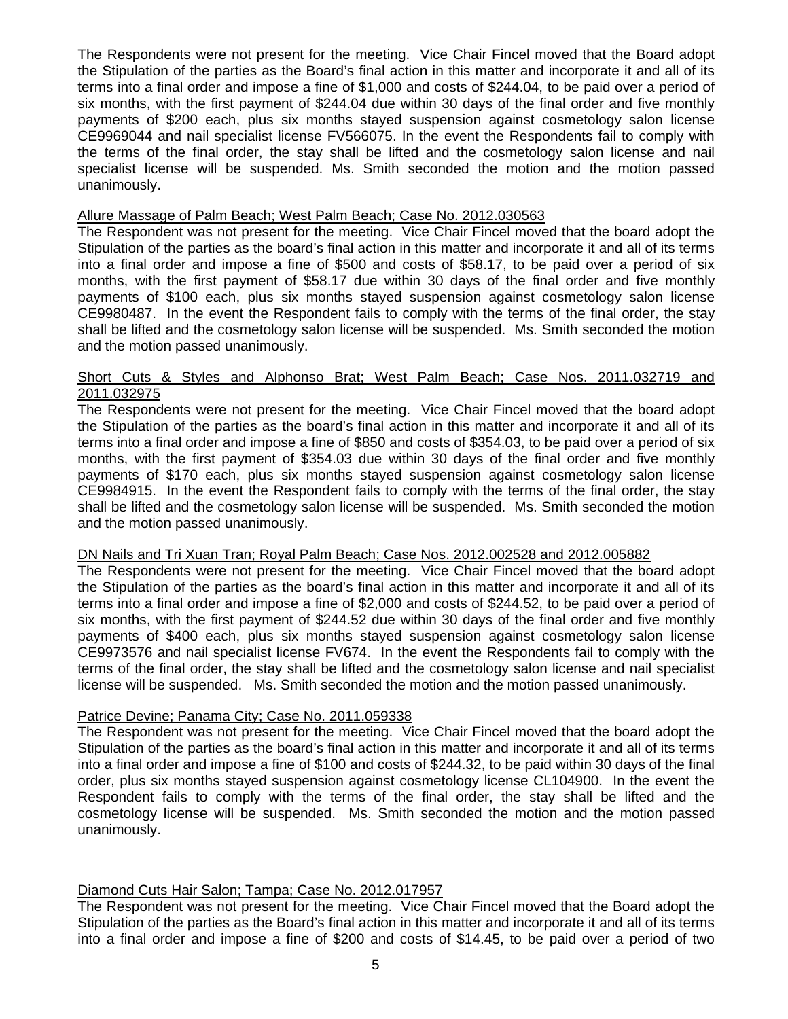The Respondents were not present for the meeting. Vice Chair Fincel moved that the Board adopt the Stipulation of the parties as the Board's final action in this matter and incorporate it and all of its terms into a final order and impose a fine of \$1,000 and costs of \$244.04, to be paid over a period of six months, with the first payment of \$244.04 due within 30 days of the final order and five monthly payments of \$200 each, plus six months stayed suspension against cosmetology salon license CE9969044 and nail specialist license FV566075. In the event the Respondents fail to comply with the terms of the final order, the stay shall be lifted and the cosmetology salon license and nail specialist license will be suspended. Ms. Smith seconded the motion and the motion passed unanimously.

#### Allure Massage of Palm Beach; West Palm Beach; Case No. 2012.030563

The Respondent was not present for the meeting. Vice Chair Fincel moved that the board adopt the Stipulation of the parties as the board's final action in this matter and incorporate it and all of its terms into a final order and impose a fine of \$500 and costs of \$58.17, to be paid over a period of six months, with the first payment of \$58.17 due within 30 days of the final order and five monthly payments of \$100 each, plus six months stayed suspension against cosmetology salon license CE9980487. In the event the Respondent fails to comply with the terms of the final order, the stay shall be lifted and the cosmetology salon license will be suspended. Ms. Smith seconded the motion and the motion passed unanimously.

# Short Cuts & Styles and Alphonso Brat; West Palm Beach; Case Nos. 2011.032719 and 2011.032975

The Respondents were not present for the meeting. Vice Chair Fincel moved that the board adopt the Stipulation of the parties as the board's final action in this matter and incorporate it and all of its terms into a final order and impose a fine of \$850 and costs of \$354.03, to be paid over a period of six months, with the first payment of \$354.03 due within 30 days of the final order and five monthly payments of \$170 each, plus six months stayed suspension against cosmetology salon license CE9984915. In the event the Respondent fails to comply with the terms of the final order, the stay shall be lifted and the cosmetology salon license will be suspended. Ms. Smith seconded the motion and the motion passed unanimously.

#### DN Nails and Tri Xuan Tran; Royal Palm Beach; Case Nos. 2012.002528 and 2012.005882

The Respondents were not present for the meeting. Vice Chair Fincel moved that the board adopt the Stipulation of the parties as the board's final action in this matter and incorporate it and all of its terms into a final order and impose a fine of \$2,000 and costs of \$244.52, to be paid over a period of six months, with the first payment of \$244.52 due within 30 days of the final order and five monthly payments of \$400 each, plus six months stayed suspension against cosmetology salon license CE9973576 and nail specialist license FV674. In the event the Respondents fail to comply with the terms of the final order, the stay shall be lifted and the cosmetology salon license and nail specialist license will be suspended. Ms. Smith seconded the motion and the motion passed unanimously.

#### Patrice Devine; Panama City; Case No. 2011.059338

The Respondent was not present for the meeting. Vice Chair Fincel moved that the board adopt the Stipulation of the parties as the board's final action in this matter and incorporate it and all of its terms into a final order and impose a fine of \$100 and costs of \$244.32, to be paid within 30 days of the final order, plus six months stayed suspension against cosmetology license CL104900. In the event the Respondent fails to comply with the terms of the final order, the stay shall be lifted and the cosmetology license will be suspended. Ms. Smith seconded the motion and the motion passed unanimously.

#### Diamond Cuts Hair Salon; Tampa; Case No. 2012.017957

The Respondent was not present for the meeting. Vice Chair Fincel moved that the Board adopt the Stipulation of the parties as the Board's final action in this matter and incorporate it and all of its terms into a final order and impose a fine of \$200 and costs of \$14.45, to be paid over a period of two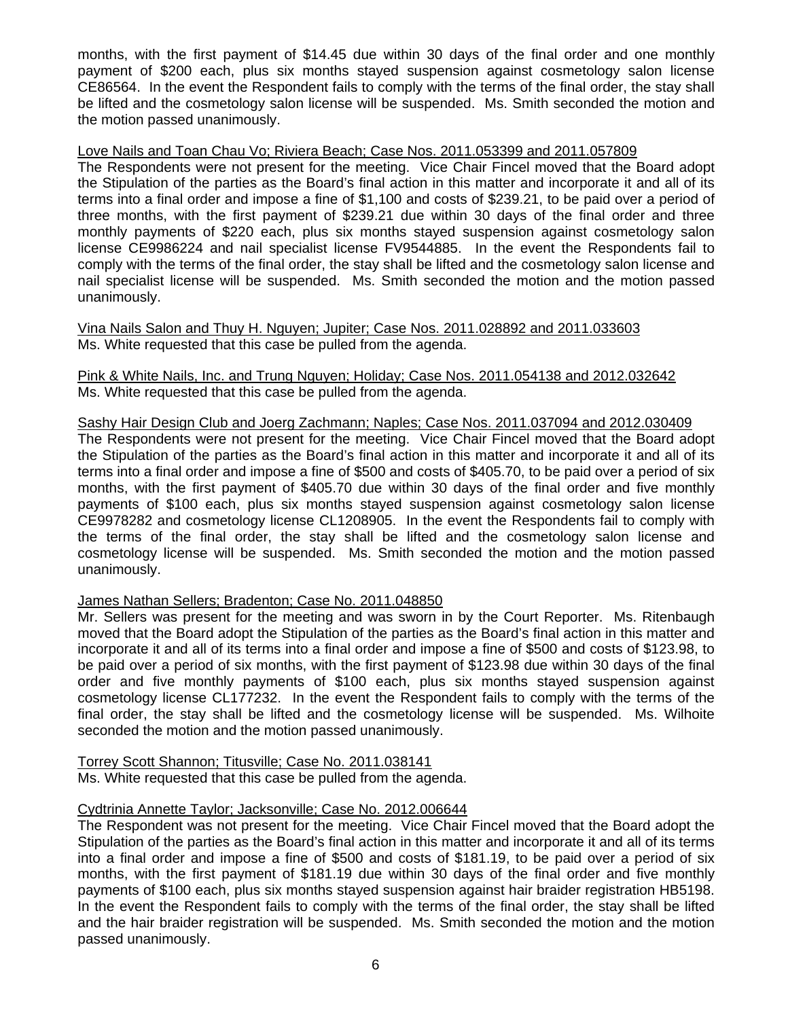months, with the first payment of \$14.45 due within 30 days of the final order and one monthly payment of \$200 each, plus six months stayed suspension against cosmetology salon license CE86564. In the event the Respondent fails to comply with the terms of the final order, the stay shall be lifted and the cosmetology salon license will be suspended. Ms. Smith seconded the motion and the motion passed unanimously.

#### Love Nails and Toan Chau Vo; Riviera Beach; Case Nos. 2011.053399 and 2011.057809

The Respondents were not present for the meeting. Vice Chair Fincel moved that the Board adopt the Stipulation of the parties as the Board's final action in this matter and incorporate it and all of its terms into a final order and impose a fine of \$1,100 and costs of \$239.21, to be paid over a period of three months, with the first payment of \$239.21 due within 30 days of the final order and three monthly payments of \$220 each, plus six months stayed suspension against cosmetology salon license CE9986224 and nail specialist license FV9544885. In the event the Respondents fail to comply with the terms of the final order, the stay shall be lifted and the cosmetology salon license and nail specialist license will be suspended. Ms. Smith seconded the motion and the motion passed unanimously.

Vina Nails Salon and Thuy H. Nguyen; Jupiter; Case Nos. 2011.028892 and 2011.033603 Ms. White requested that this case be pulled from the agenda.

#### Pink & White Nails, Inc. and Trung Nguyen; Holiday; Case Nos. 2011.054138 and 2012.032642 Ms. White requested that this case be pulled from the agenda.

#### Sashy Hair Design Club and Joerg Zachmann; Naples; Case Nos. 2011.037094 and 2012.030409 The Respondents were not present for the meeting. Vice Chair Fincel moved that the Board adopt the Stipulation of the parties as the Board's final action in this matter and incorporate it and all of its terms into a final order and impose a fine of \$500 and costs of \$405.70, to be paid over a period of six months, with the first payment of \$405.70 due within 30 days of the final order and five monthly payments of \$100 each, plus six months stayed suspension against cosmetology salon license CE9978282 and cosmetology license CL1208905. In the event the Respondents fail to comply with the terms of the final order, the stay shall be lifted and the cosmetology salon license and cosmetology license will be suspended. Ms. Smith seconded the motion and the motion passed unanimously.

# James Nathan Sellers; Bradenton; Case No. 2011.048850

Mr. Sellers was present for the meeting and was sworn in by the Court Reporter. Ms. Ritenbaugh moved that the Board adopt the Stipulation of the parties as the Board's final action in this matter and incorporate it and all of its terms into a final order and impose a fine of \$500 and costs of \$123.98, to be paid over a period of six months, with the first payment of \$123.98 due within 30 days of the final order and five monthly payments of \$100 each, plus six months stayed suspension against cosmetology license CL177232. In the event the Respondent fails to comply with the terms of the final order, the stay shall be lifted and the cosmetology license will be suspended. Ms. Wilhoite seconded the motion and the motion passed unanimously.

Torrey Scott Shannon; Titusville; Case No. 2011.038141 Ms. White requested that this case be pulled from the agenda.

#### Cydtrinia Annette Taylor; Jacksonville; Case No. 2012.006644

The Respondent was not present for the meeting. Vice Chair Fincel moved that the Board adopt the Stipulation of the parties as the Board's final action in this matter and incorporate it and all of its terms into a final order and impose a fine of \$500 and costs of \$181.19, to be paid over a period of six months, with the first payment of \$181.19 due within 30 days of the final order and five monthly payments of \$100 each, plus six months stayed suspension against hair braider registration HB5198. In the event the Respondent fails to comply with the terms of the final order, the stay shall be lifted and the hair braider registration will be suspended. Ms. Smith seconded the motion and the motion passed unanimously.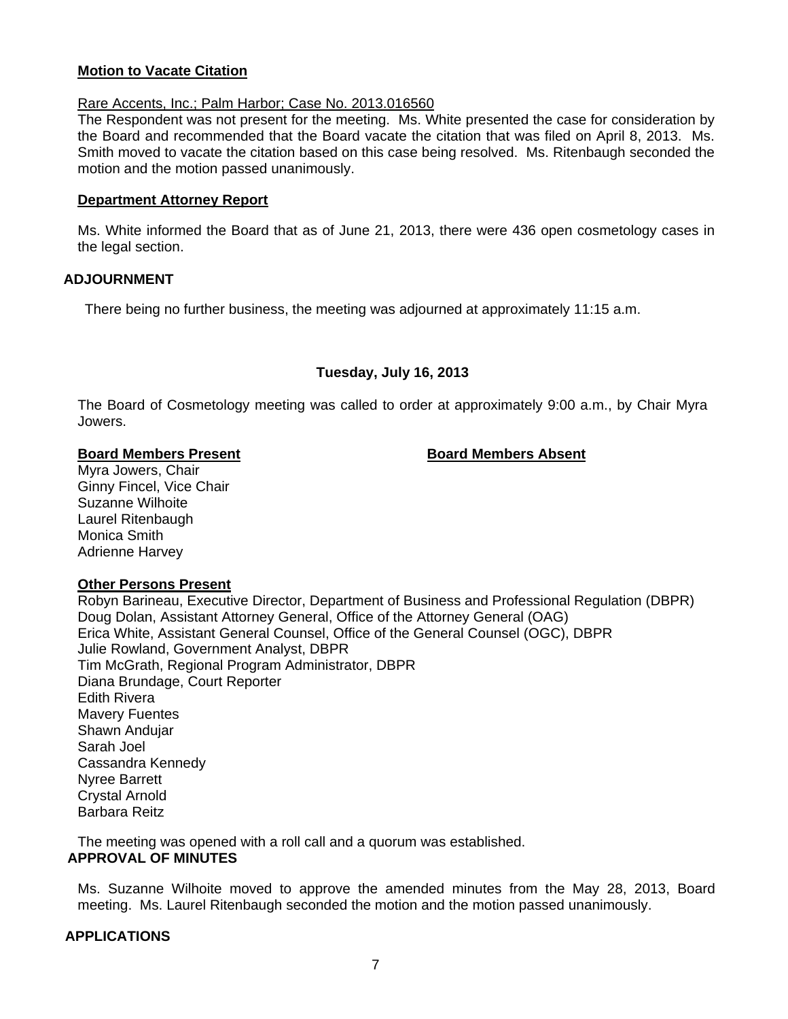## **Motion to Vacate Citation**

#### Rare Accents, Inc.; Palm Harbor; Case No. 2013.016560

The Respondent was not present for the meeting. Ms. White presented the case for consideration by the Board and recommended that the Board vacate the citation that was filed on April 8, 2013. Ms. Smith moved to vacate the citation based on this case being resolved. Ms. Ritenbaugh seconded the motion and the motion passed unanimously.

#### **Department Attorney Report**

Ms. White informed the Board that as of June 21, 2013, there were 436 open cosmetology cases in the legal section.

#### **ADJOURNMENT**

There being no further business, the meeting was adjourned at approximately 11:15 a.m.

# **Tuesday, July 16, 2013**

The Board of Cosmetology meeting was called to order at approximately 9:00 a.m., by Chair Myra Jowers.

#### **Board Members Present Communist Communist Board Members Absent**

Myra Jowers, Chair Ginny Fincel, Vice Chair Suzanne Wilhoite Laurel Ritenbaugh Monica Smith Adrienne Harvey

#### **Other Persons Present**

Robyn Barineau, Executive Director, Department of Business and Professional Regulation (DBPR) Doug Dolan, Assistant Attorney General, Office of the Attorney General (OAG) Erica White, Assistant General Counsel, Office of the General Counsel (OGC), DBPR Julie Rowland, Government Analyst, DBPR Tim McGrath, Regional Program Administrator, DBPR Diana Brundage, Court Reporter Edith Rivera Mavery Fuentes Shawn Andujar Sarah Joel Cassandra Kennedy Nyree Barrett Crystal Arnold Barbara Reitz

The meeting was opened with a roll call and a quorum was established. **APPROVAL OF MINUTES** 

Ms. Suzanne Wilhoite moved to approve the amended minutes from the May 28, 2013, Board meeting. Ms. Laurel Ritenbaugh seconded the motion and the motion passed unanimously.

#### **APPLICATIONS**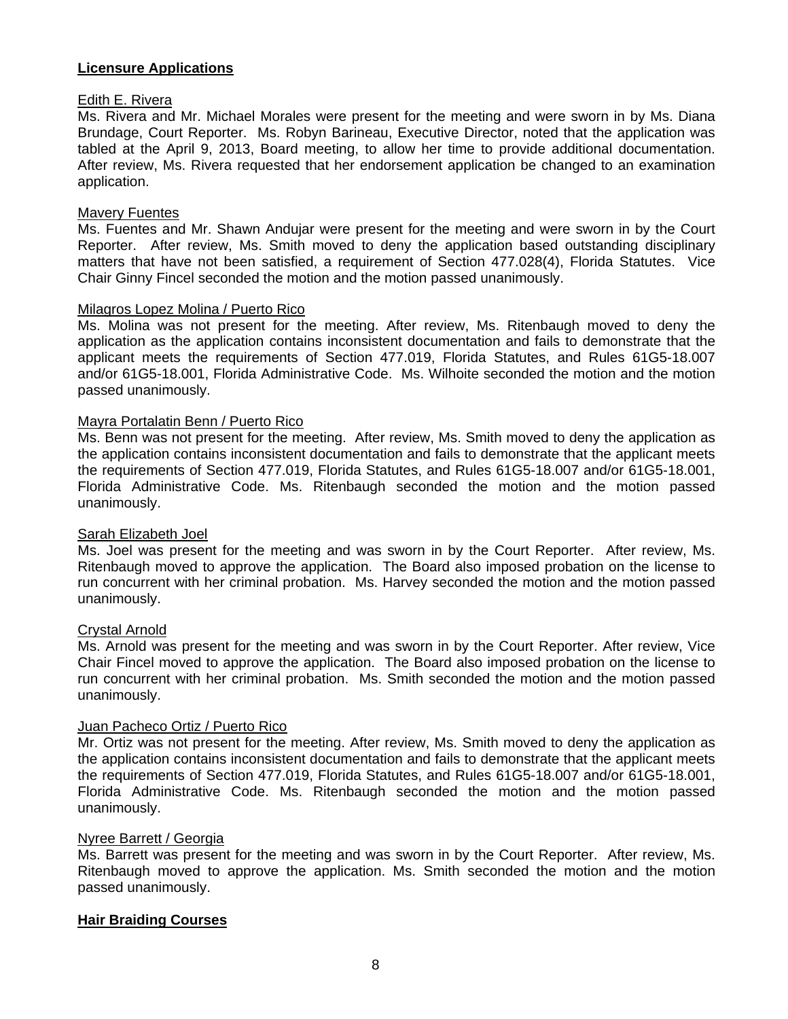# **Licensure Applications**

#### Edith E. Rivera

Ms. Rivera and Mr. Michael Morales were present for the meeting and were sworn in by Ms. Diana Brundage, Court Reporter. Ms. Robyn Barineau, Executive Director, noted that the application was tabled at the April 9, 2013, Board meeting, to allow her time to provide additional documentation. After review, Ms. Rivera requested that her endorsement application be changed to an examination application.

#### Mavery Fuentes

Ms. Fuentes and Mr. Shawn Andujar were present for the meeting and were sworn in by the Court Reporter. After review, Ms. Smith moved to deny the application based outstanding disciplinary matters that have not been satisfied, a requirement of Section 477.028(4), Florida Statutes. Vice Chair Ginny Fincel seconded the motion and the motion passed unanimously.

#### Milagros Lopez Molina / Puerto Rico

Ms. Molina was not present for the meeting. After review, Ms. Ritenbaugh moved to deny the application as the application contains inconsistent documentation and fails to demonstrate that the applicant meets the requirements of Section 477.019, Florida Statutes, and Rules 61G5-18.007 and/or 61G5-18.001, Florida Administrative Code. Ms. Wilhoite seconded the motion and the motion passed unanimously.

#### Mayra Portalatin Benn / Puerto Rico

Ms. Benn was not present for the meeting. After review, Ms. Smith moved to deny the application as the application contains inconsistent documentation and fails to demonstrate that the applicant meets the requirements of Section 477.019, Florida Statutes, and Rules 61G5-18.007 and/or 61G5-18.001, Florida Administrative Code. Ms. Ritenbaugh seconded the motion and the motion passed unanimously.

#### Sarah Elizabeth Joel

Ms. Joel was present for the meeting and was sworn in by the Court Reporter. After review, Ms. Ritenbaugh moved to approve the application. The Board also imposed probation on the license to run concurrent with her criminal probation. Ms. Harvey seconded the motion and the motion passed unanimously.

#### Crystal Arnold

Ms. Arnold was present for the meeting and was sworn in by the Court Reporter. After review, Vice Chair Fincel moved to approve the application. The Board also imposed probation on the license to run concurrent with her criminal probation. Ms. Smith seconded the motion and the motion passed unanimously.

# Juan Pacheco Ortiz / Puerto Rico

Mr. Ortiz was not present for the meeting. After review, Ms. Smith moved to deny the application as the application contains inconsistent documentation and fails to demonstrate that the applicant meets the requirements of Section 477.019, Florida Statutes, and Rules 61G5-18.007 and/or 61G5-18.001, Florida Administrative Code. Ms. Ritenbaugh seconded the motion and the motion passed unanimously.

#### Nyree Barrett / Georgia

Ms. Barrett was present for the meeting and was sworn in by the Court Reporter. After review, Ms. Ritenbaugh moved to approve the application. Ms. Smith seconded the motion and the motion passed unanimously.

#### **Hair Braiding Courses**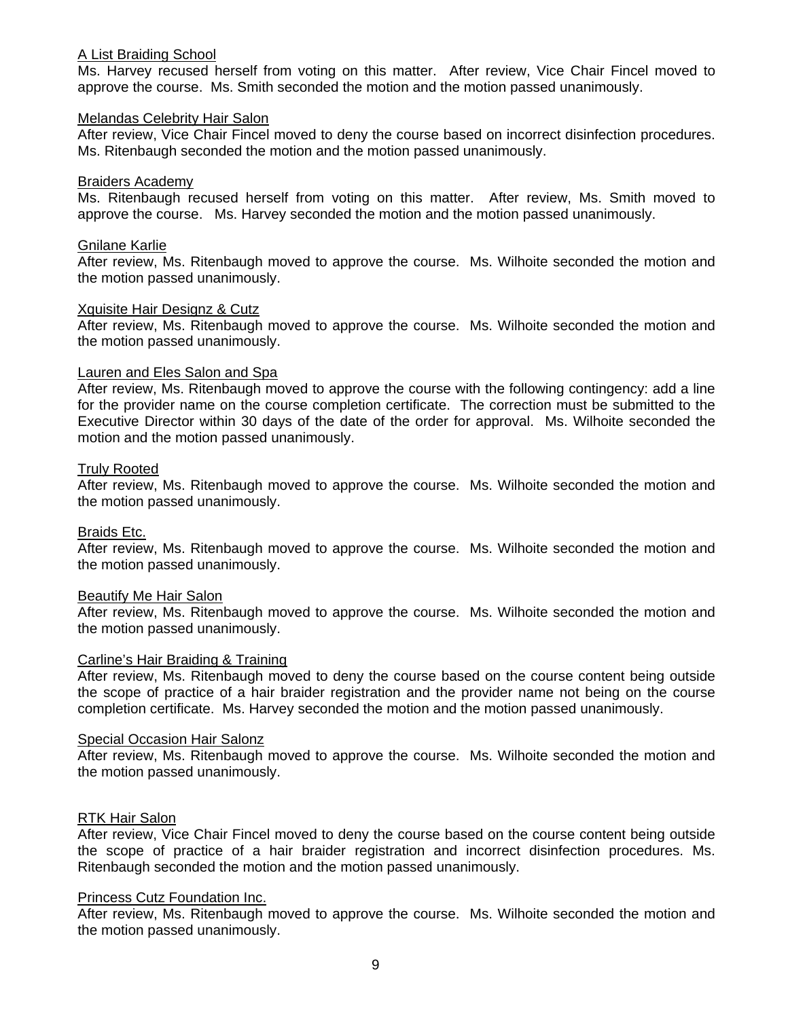#### A List Braiding School

Ms. Harvey recused herself from voting on this matter. After review, Vice Chair Fincel moved to approve the course. Ms. Smith seconded the motion and the motion passed unanimously.

#### Melandas Celebrity Hair Salon

After review, Vice Chair Fincel moved to deny the course based on incorrect disinfection procedures. Ms. Ritenbaugh seconded the motion and the motion passed unanimously.

#### Braiders Academy

Ms. Ritenbaugh recused herself from voting on this matter. After review, Ms. Smith moved to approve the course. Ms. Harvey seconded the motion and the motion passed unanimously.

#### Gnilane Karlie

After review, Ms. Ritenbaugh moved to approve the course. Ms. Wilhoite seconded the motion and the motion passed unanimously.

#### Xquisite Hair Designz & Cutz

After review, Ms. Ritenbaugh moved to approve the course. Ms. Wilhoite seconded the motion and the motion passed unanimously.

# Lauren and Eles Salon and Spa

After review, Ms. Ritenbaugh moved to approve the course with the following contingency: add a line for the provider name on the course completion certificate. The correction must be submitted to the Executive Director within 30 days of the date of the order for approval. Ms. Wilhoite seconded the motion and the motion passed unanimously.

#### Truly Rooted

After review, Ms. Ritenbaugh moved to approve the course. Ms. Wilhoite seconded the motion and the motion passed unanimously.

#### Braids Etc.

After review, Ms. Ritenbaugh moved to approve the course. Ms. Wilhoite seconded the motion and the motion passed unanimously.

#### Beautify Me Hair Salon

After review, Ms. Ritenbaugh moved to approve the course. Ms. Wilhoite seconded the motion and the motion passed unanimously.

#### Carline's Hair Braiding & Training

After review, Ms. Ritenbaugh moved to deny the course based on the course content being outside the scope of practice of a hair braider registration and the provider name not being on the course completion certificate. Ms. Harvey seconded the motion and the motion passed unanimously.

#### Special Occasion Hair Salonz

After review, Ms. Ritenbaugh moved to approve the course. Ms. Wilhoite seconded the motion and the motion passed unanimously.

#### RTK Hair Salon

After review, Vice Chair Fincel moved to deny the course based on the course content being outside the scope of practice of a hair braider registration and incorrect disinfection procedures. Ms. Ritenbaugh seconded the motion and the motion passed unanimously.

#### Princess Cutz Foundation Inc.

After review, Ms. Ritenbaugh moved to approve the course. Ms. Wilhoite seconded the motion and the motion passed unanimously.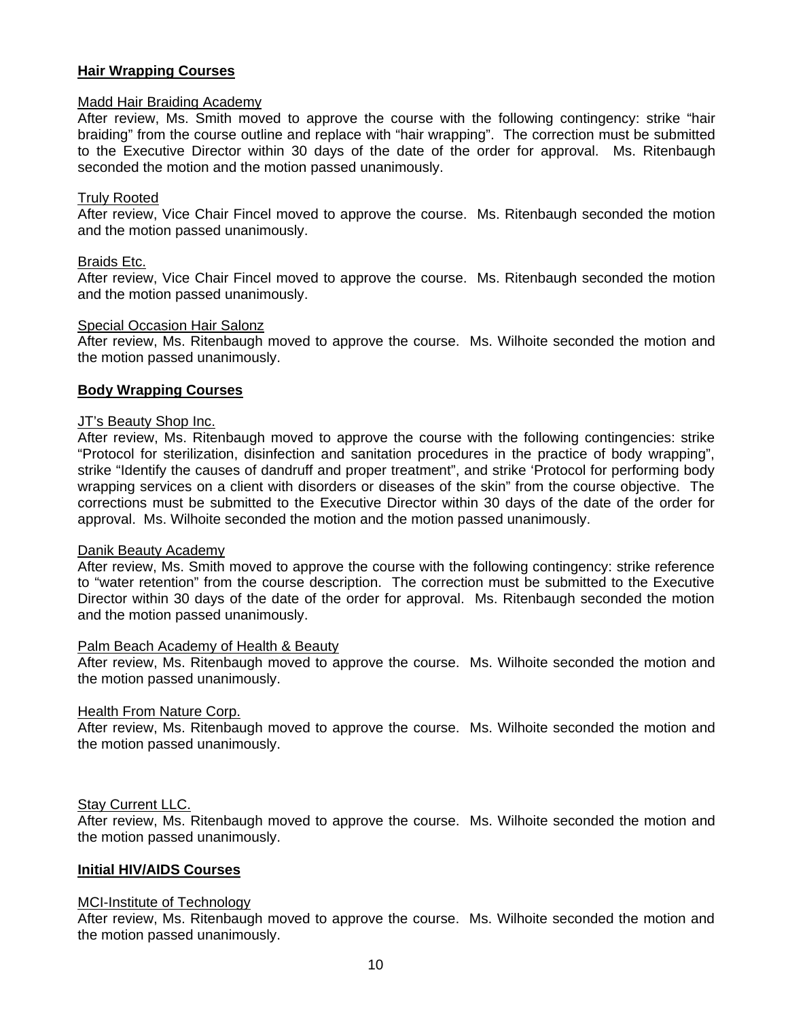# **Hair Wrapping Courses**

#### Madd Hair Braiding Academy

After review, Ms. Smith moved to approve the course with the following contingency: strike "hair braiding" from the course outline and replace with "hair wrapping". The correction must be submitted to the Executive Director within 30 days of the date of the order for approval. Ms. Ritenbaugh seconded the motion and the motion passed unanimously.

#### Truly Rooted

After review, Vice Chair Fincel moved to approve the course. Ms. Ritenbaugh seconded the motion and the motion passed unanimously.

#### Braids Etc.

After review, Vice Chair Fincel moved to approve the course. Ms. Ritenbaugh seconded the motion and the motion passed unanimously.

#### Special Occasion Hair Salonz

After review, Ms. Ritenbaugh moved to approve the course. Ms. Wilhoite seconded the motion and the motion passed unanimously.

#### **Body Wrapping Courses**

#### JT's Beauty Shop Inc.

After review, Ms. Ritenbaugh moved to approve the course with the following contingencies: strike "Protocol for sterilization, disinfection and sanitation procedures in the practice of body wrapping", strike "Identify the causes of dandruff and proper treatment", and strike 'Protocol for performing body wrapping services on a client with disorders or diseases of the skin" from the course objective. The corrections must be submitted to the Executive Director within 30 days of the date of the order for approval. Ms. Wilhoite seconded the motion and the motion passed unanimously.

#### Danik Beauty Academy

After review, Ms. Smith moved to approve the course with the following contingency: strike reference to "water retention" from the course description. The correction must be submitted to the Executive Director within 30 days of the date of the order for approval. Ms. Ritenbaugh seconded the motion and the motion passed unanimously.

#### Palm Beach Academy of Health & Beauty

After review, Ms. Ritenbaugh moved to approve the course. Ms. Wilhoite seconded the motion and the motion passed unanimously.

#### Health From Nature Corp.

After review, Ms. Ritenbaugh moved to approve the course. Ms. Wilhoite seconded the motion and the motion passed unanimously.

#### Stay Current LLC.

After review, Ms. Ritenbaugh moved to approve the course. Ms. Wilhoite seconded the motion and the motion passed unanimously.

#### **Initial HIV/AIDS Courses**

#### MCI-Institute of Technology

After review, Ms. Ritenbaugh moved to approve the course. Ms. Wilhoite seconded the motion and the motion passed unanimously.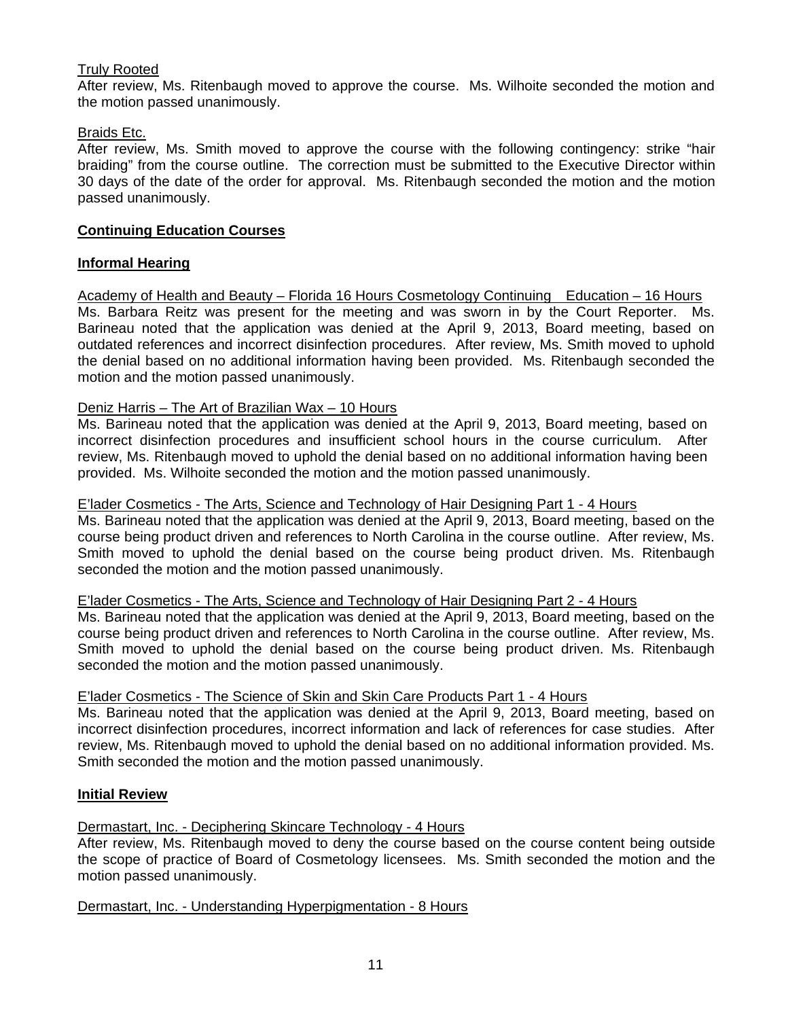# Truly Rooted

After review, Ms. Ritenbaugh moved to approve the course. Ms. Wilhoite seconded the motion and the motion passed unanimously.

#### Braids Etc.

After review, Ms. Smith moved to approve the course with the following contingency: strike "hair braiding" from the course outline. The correction must be submitted to the Executive Director within 30 days of the date of the order for approval. Ms. Ritenbaugh seconded the motion and the motion passed unanimously.

# **Continuing Education Courses**

# **Informal Hearing**

Academy of Health and Beauty – Florida 16 Hours Cosmetology Continuing Education – 16 Hours Ms. Barbara Reitz was present for the meeting and was sworn in by the Court Reporter. Ms. Barineau noted that the application was denied at the April 9, 2013, Board meeting, based on outdated references and incorrect disinfection procedures. After review, Ms. Smith moved to uphold the denial based on no additional information having been provided. Ms. Ritenbaugh seconded the motion and the motion passed unanimously.

# Deniz Harris - The Art of Brazilian Wax - 10 Hours

Ms. Barineau noted that the application was denied at the April 9, 2013, Board meeting, based on incorrect disinfection procedures and insufficient school hours in the course curriculum. After review, Ms. Ritenbaugh moved to uphold the denial based on no additional information having been provided. Ms. Wilhoite seconded the motion and the motion passed unanimously.

E'lader Cosmetics - The Arts, Science and Technology of Hair Designing Part 1 - 4 Hours

Ms. Barineau noted that the application was denied at the April 9, 2013, Board meeting, based on the course being product driven and references to North Carolina in the course outline. After review, Ms. Smith moved to uphold the denial based on the course being product driven. Ms. Ritenbaugh seconded the motion and the motion passed unanimously.

E'lader Cosmetics - The Arts, Science and Technology of Hair Designing Part 2 - 4 Hours

Ms. Barineau noted that the application was denied at the April 9, 2013, Board meeting, based on the course being product driven and references to North Carolina in the course outline. After review, Ms. Smith moved to uphold the denial based on the course being product driven. Ms. Ritenbaugh seconded the motion and the motion passed unanimously.

#### E'lader Cosmetics - The Science of Skin and Skin Care Products Part 1 - 4 Hours

Ms. Barineau noted that the application was denied at the April 9, 2013, Board meeting, based on incorrect disinfection procedures, incorrect information and lack of references for case studies. After review, Ms. Ritenbaugh moved to uphold the denial based on no additional information provided. Ms. Smith seconded the motion and the motion passed unanimously.

# **Initial Review**

Dermastart, Inc. - Deciphering Skincare Technology - 4 Hours

After review, Ms. Ritenbaugh moved to deny the course based on the course content being outside the scope of practice of Board of Cosmetology licensees. Ms. Smith seconded the motion and the motion passed unanimously.

Dermastart, Inc. - Understanding Hyperpigmentation - 8 Hours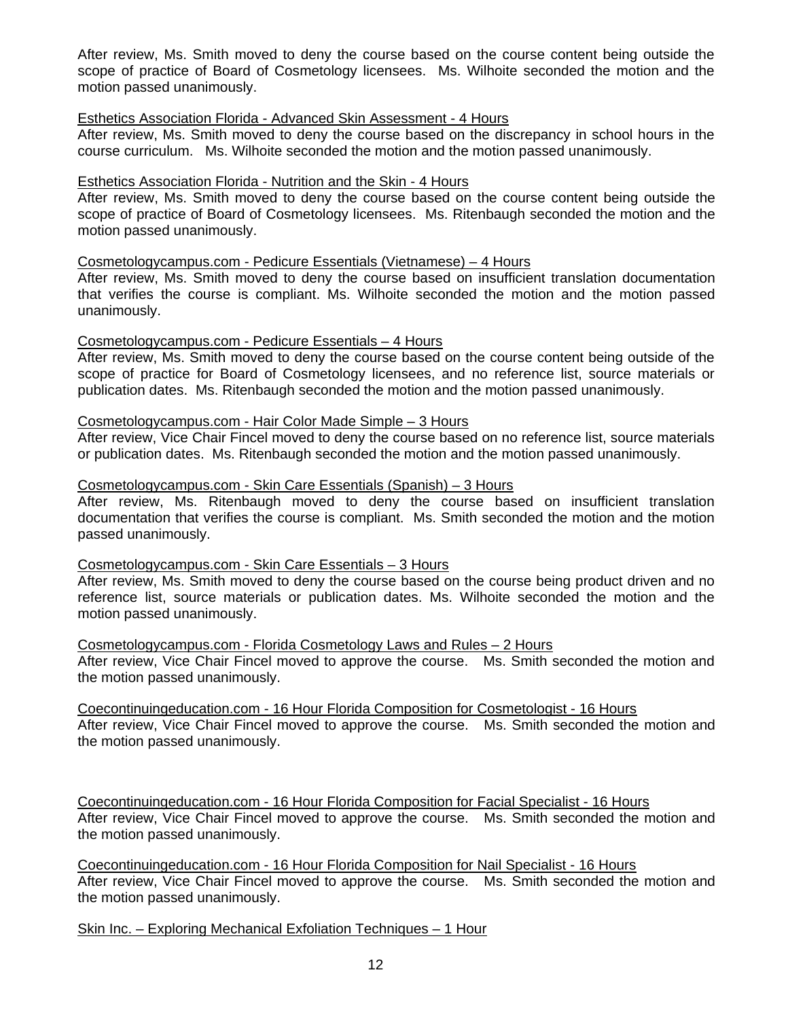After review, Ms. Smith moved to deny the course based on the course content being outside the scope of practice of Board of Cosmetology licensees. Ms. Wilhoite seconded the motion and the motion passed unanimously.

#### Esthetics Association Florida - Advanced Skin Assessment - 4 Hours

After review, Ms. Smith moved to deny the course based on the discrepancy in school hours in the course curriculum. Ms. Wilhoite seconded the motion and the motion passed unanimously.

#### Esthetics Association Florida - Nutrition and the Skin - 4 Hours

After review, Ms. Smith moved to deny the course based on the course content being outside the scope of practice of Board of Cosmetology licensees. Ms. Ritenbaugh seconded the motion and the motion passed unanimously.

Cosmetologycampus.com - Pedicure Essentials (Vietnamese) – 4 Hours

After review, Ms. Smith moved to deny the course based on insufficient translation documentation that verifies the course is compliant. Ms. Wilhoite seconded the motion and the motion passed unanimously.

#### Cosmetologycampus.com - Pedicure Essentials – 4 Hours

After review, Ms. Smith moved to deny the course based on the course content being outside of the scope of practice for Board of Cosmetology licensees, and no reference list, source materials or publication dates. Ms. Ritenbaugh seconded the motion and the motion passed unanimously.

## Cosmetologycampus.com - Hair Color Made Simple – 3 Hours

After review, Vice Chair Fincel moved to deny the course based on no reference list, source materials or publication dates. Ms. Ritenbaugh seconded the motion and the motion passed unanimously.

#### Cosmetologycampus.com - Skin Care Essentials (Spanish) – 3 Hours

After review, Ms. Ritenbaugh moved to deny the course based on insufficient translation documentation that verifies the course is compliant. Ms. Smith seconded the motion and the motion passed unanimously.

#### Cosmetologycampus.com - Skin Care Essentials – 3 Hours

After review, Ms. Smith moved to deny the course based on the course being product driven and no reference list, source materials or publication dates. Ms. Wilhoite seconded the motion and the motion passed unanimously.

Cosmetologycampus.com - Florida Cosmetology Laws and Rules – 2 Hours After review, Vice Chair Fincel moved to approve the course. Ms. Smith seconded the motion and the motion passed unanimously.

Coecontinuingeducation.com - 16 Hour Florida Composition for Cosmetologist - 16 Hours After review, Vice Chair Fincel moved to approve the course. Ms. Smith seconded the motion and the motion passed unanimously.

Coecontinuingeducation.com - 16 Hour Florida Composition for Facial Specialist - 16 Hours After review, Vice Chair Fincel moved to approve the course. Ms. Smith seconded the motion and the motion passed unanimously.

Coecontinuingeducation.com - 16 Hour Florida Composition for Nail Specialist - 16 Hours After review, Vice Chair Fincel moved to approve the course. Ms. Smith seconded the motion and the motion passed unanimously.

Skin Inc. – Exploring Mechanical Exfoliation Techniques – 1 Hour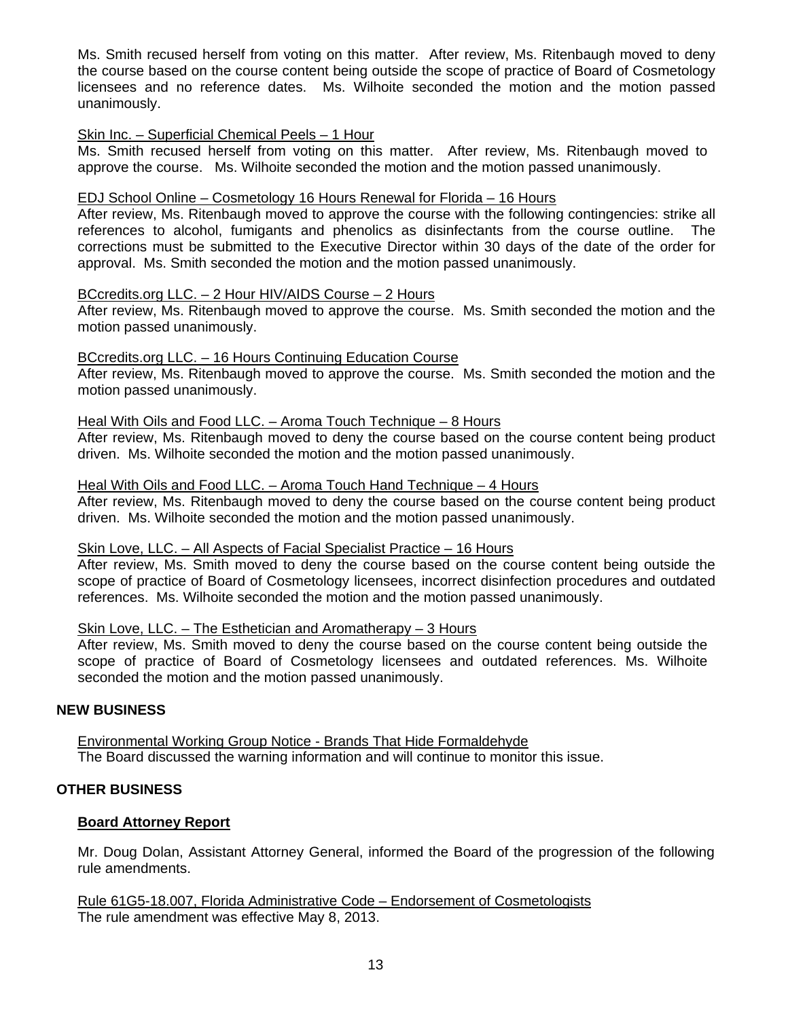Ms. Smith recused herself from voting on this matter. After review, Ms. Ritenbaugh moved to deny the course based on the course content being outside the scope of practice of Board of Cosmetology licensees and no reference dates. Ms. Wilhoite seconded the motion and the motion passed unanimously.

#### Skin Inc. – Superficial Chemical Peels – 1 Hour

Ms. Smith recused herself from voting on this matter. After review, Ms. Ritenbaugh moved to approve the course. Ms. Wilhoite seconded the motion and the motion passed unanimously.

# EDJ School Online – Cosmetology 16 Hours Renewal for Florida – 16 Hours

After review, Ms. Ritenbaugh moved to approve the course with the following contingencies: strike all references to alcohol, fumigants and phenolics as disinfectants from the course outline. The corrections must be submitted to the Executive Director within 30 days of the date of the order for approval. Ms. Smith seconded the motion and the motion passed unanimously.

# BCcredits.org LLC. – 2 Hour HIV/AIDS Course – 2 Hours

After review, Ms. Ritenbaugh moved to approve the course. Ms. Smith seconded the motion and the motion passed unanimously.

# BCcredits.org LLC. – 16 Hours Continuing Education Course

After review, Ms. Ritenbaugh moved to approve the course. Ms. Smith seconded the motion and the motion passed unanimously.

# Heal With Oils and Food LLC. - Aroma Touch Technique - 8 Hours

After review, Ms. Ritenbaugh moved to deny the course based on the course content being product driven. Ms. Wilhoite seconded the motion and the motion passed unanimously.

#### Heal With Oils and Food LLC. – Aroma Touch Hand Technique – 4 Hours

After review, Ms. Ritenbaugh moved to deny the course based on the course content being product driven. Ms. Wilhoite seconded the motion and the motion passed unanimously.

#### Skin Love, LLC. – All Aspects of Facial Specialist Practice – 16 Hours

After review, Ms. Smith moved to deny the course based on the course content being outside the scope of practice of Board of Cosmetology licensees, incorrect disinfection procedures and outdated references. Ms. Wilhoite seconded the motion and the motion passed unanimously.

#### Skin Love, LLC. – The Esthetician and Aromatherapy – 3 Hours

After review, Ms. Smith moved to deny the course based on the course content being outside the scope of practice of Board of Cosmetology licensees and outdated references. Ms. Wilhoite seconded the motion and the motion passed unanimously.

# **NEW BUSINESS**

Environmental Working Group Notice - Brands That Hide Formaldehyde The Board discussed the warning information and will continue to monitor this issue.

#### **OTHER BUSINESS**

#### **Board Attorney Report**

Mr. Doug Dolan, Assistant Attorney General, informed the Board of the progression of the following rule amendments.

Rule 61G5-18.007, Florida Administrative Code – Endorsement of Cosmetologists The rule amendment was effective May 8, 2013.